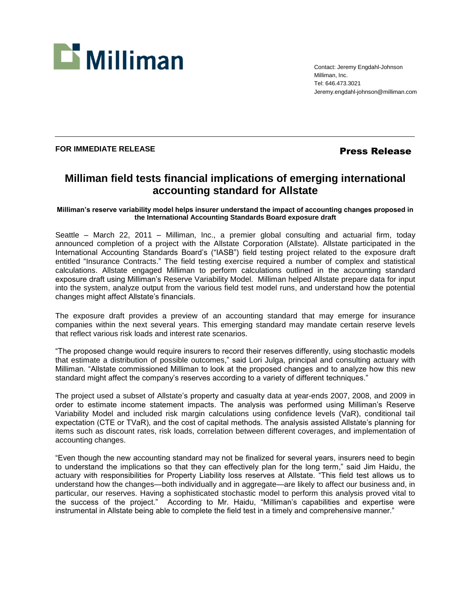

Contact: Jeremy Engdahl-Johnson Milliman, Inc. Tel: 646.473.3021 Jeremy.engdahl-johnson@milliman.com

# **FOR IMMEDIATE RELEASE Press Release**

# **Milliman field tests financial implications of emerging international accounting standard for Allstate**

### **Milliman's reserve variability model helps insurer understand the impact of accounting changes proposed in the International Accounting Standards Board exposure draft**

Seattle – March 22, 2011 – Milliman, Inc., a premier global consulting and actuarial firm, today announced completion of a project with the Allstate Corporation (Allstate). Allstate participated in the International Accounting Standards Board's ("IASB") field testing project related to the exposure draft entitled "Insurance Contracts." The field testing exercise required a number of complex and statistical calculations. Allstate engaged Milliman to perform calculations outlined in the accounting standard exposure draft using Milliman's Reserve Variability Model. Milliman helped Allstate prepare data for input into the system, analyze output from the various field test model runs, and understand how the potential changes might affect Allstate's financials.

The exposure draft provides a preview of an accounting standard that may emerge for insurance companies within the next several years. This emerging standard may mandate certain reserve levels that reflect various risk loads and interest rate scenarios.

"The proposed change would require insurers to record their reserves differently, using stochastic models that estimate a distribution of possible outcomes," said Lori Julga, principal and consulting actuary with Milliman. "Allstate commissioned Milliman to look at the proposed changes and to analyze how this new standard might affect the company's reserves according to a variety of different techniques."

The project used a subset of Allstate's property and casualty data at year-ends 2007, 2008, and 2009 in order to estimate income statement impacts. The analysis was performed using Milliman's Reserve Variability Model and included risk margin calculations using confidence levels (VaR), conditional tail expectation (CTE or TVaR), and the cost of capital methods. The analysis assisted Allstate's planning for items such as discount rates, risk loads, correlation between different coverages, and implementation of accounting changes.

"Even though the new accounting standard may not be finalized for several years, insurers need to begin to understand the implications so that they can effectively plan for the long term," said Jim Haidu, the actuary with responsibilities for Property Liability loss reserves at Allstate. "This field test allows us to understand how the changes—both individually and in aggregate—are likely to affect our business and, in particular, our reserves. Having a sophisticated stochastic model to perform this analysis proved vital to the success of the project." According to Mr. Haidu, "Milliman's capabilities and expertise were instrumental in Allstate being able to complete the field test in a timely and comprehensive manner."